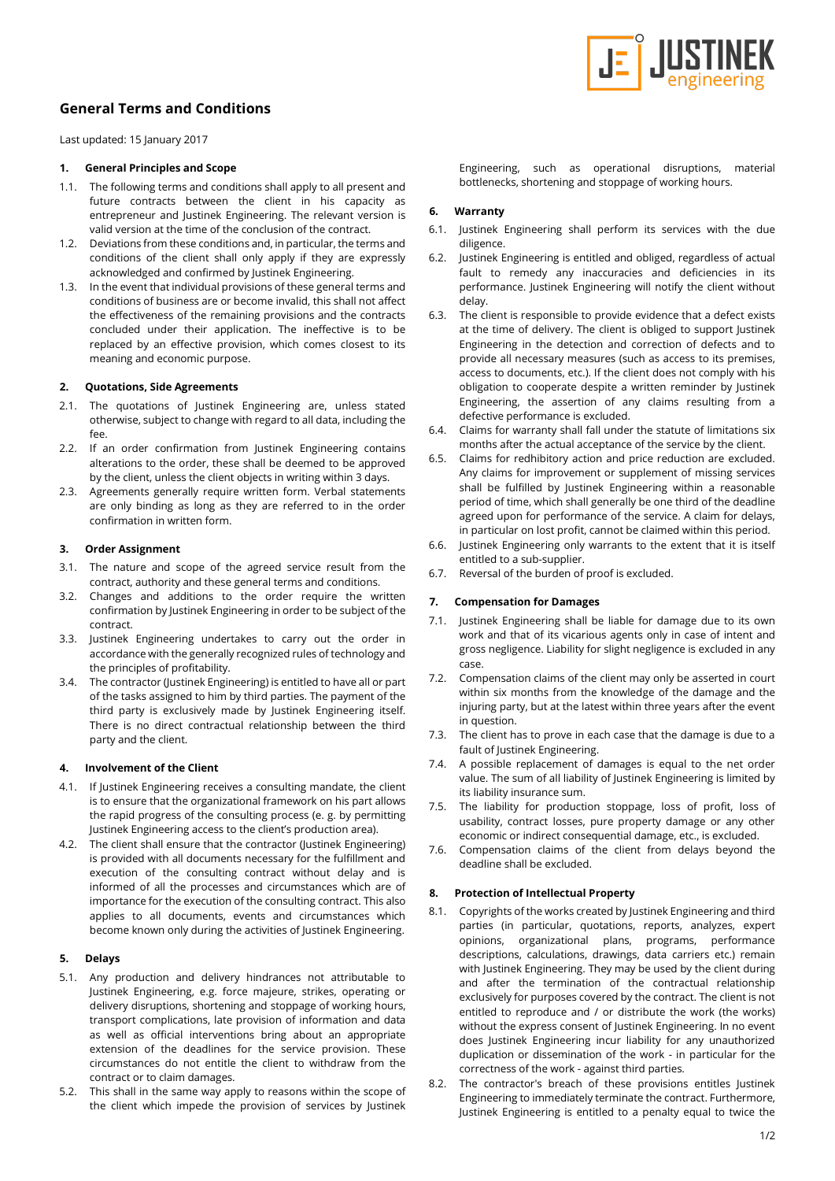

# **General Terms and Conditions**

Last updated: 15 January 2017

## **1. General Principles and Scope**

- 1.1. The following terms and conditions shall apply to all present and future contracts between the client in his capacity as entrepreneur and Justinek Engineering. The relevant version is valid version at the time of the conclusion of the contract.
- 1.2. Deviations from these conditions and, in particular, the terms and conditions of the client shall only apply if they are expressly acknowledged and confirmed by Justinek Engineering.
- 1.3. In the event that individual provisions of these general terms and conditions of business are or become invalid, this shall not affect the effectiveness of the remaining provisions and the contracts concluded under their application. The ineffective is to be replaced by an effective provision, which comes closest to its meaning and economic purpose.

#### **2. Quotations, Side Agreements**

- 2.1. The quotations of Justinek Engineering are, unless stated otherwise, subject to change with regard to all data, including the fee.
- 2.2. If an order confirmation from Justinek Engineering contains alterations to the order, these shall be deemed to be approved by the client, unless the client objects in writing within 3 days.
- 2.3. Agreements generally require written form. Verbal statements are only binding as long as they are referred to in the order confirmation in written form.

## **3. Order Assignment**

- 3.1. The nature and scope of the agreed service result from the contract, authority and these general terms and conditions.
- 3.2. Changes and additions to the order require the written confirmation by Justinek Engineering in order to be subject of the contract.
- 3.3. Justinek Engineering undertakes to carry out the order in accordance with the generally recognized rules of technology and the principles of profitability.
- 3.4. The contractor (Justinek Engineering) is entitled to have all or part of the tasks assigned to him by third parties. The payment of the third party is exclusively made by Justinek Engineering itself. There is no direct contractual relationship between the third party and the client.

#### **4. Involvement of the Client**

- 4.1. If Justinek Engineering receives a consulting mandate, the client is to ensure that the organizational framework on his part allows the rapid progress of the consulting process (e. g. by permitting Justinek Engineering access to the client's production area).
- 4.2. The client shall ensure that the contractor (Justinek Engineering) is provided with all documents necessary for the fulfillment and execution of the consulting contract without delay and is informed of all the processes and circumstances which are of importance for the execution of the consulting contract. This also applies to all documents, events and circumstances which become known only during the activities of Justinek Engineering.

# **5. Delays**

- 5.1. Any production and delivery hindrances not attributable to Justinek Engineering, e.g. force majeure, strikes, operating or delivery disruptions, shortening and stoppage of working hours, transport complications, late provision of information and data as well as official interventions bring about an appropriate extension of the deadlines for the service provision. These circumstances do not entitle the client to withdraw from the contract or to claim damages.
- 5.2. This shall in the same way apply to reasons within the scope of the client which impede the provision of services by Justinek

Engineering, such as operational disruptions, material bottlenecks, shortening and stoppage of working hours.

## **6. Warranty**

- 6.1. Justinek Engineering shall perform its services with the due diligence.
- 6.2. Justinek Engineering is entitled and obliged, regardless of actual fault to remedy any inaccuracies and deficiencies in its performance. Justinek Engineering will notify the client without delay.
- 6.3. The client is responsible to provide evidence that a defect exists at the time of delivery. The client is obliged to support Justinek Engineering in the detection and correction of defects and to provide all necessary measures (such as access to its premises, access to documents, etc.). If the client does not comply with his obligation to cooperate despite a written reminder by Justinek Engineering, the assertion of any claims resulting from a defective performance is excluded.
- 6.4. Claims for warranty shall fall under the statute of limitations six months after the actual acceptance of the service by the client.
- 6.5. Claims for redhibitory action and price reduction are excluded. Any claims for improvement or supplement of missing services shall be fulfilled by Justinek Engineering within a reasonable period of time, which shall generally be one third of the deadline agreed upon for performance of the service. A claim for delays, in particular on lost profit, cannot be claimed within this period.
- 6.6. Justinek Engineering only warrants to the extent that it is itself entitled to a sub-supplier.
- 6.7. Reversal of the burden of proof is excluded.

# **7. Compensation for Damages**

- 7.1. Justinek Engineering shall be liable for damage due to its own work and that of its vicarious agents only in case of intent and gross negligence. Liability for slight negligence is excluded in any case.
- 7.2. Compensation claims of the client may only be asserted in court within six months from the knowledge of the damage and the injuring party, but at the latest within three years after the event in question.
- 7.3. The client has to prove in each case that the damage is due to a fault of Justinek Engineering.
- 7.4. A possible replacement of damages is equal to the net order value. The sum of all liability of Justinek Engineering is limited by its liability insurance sum.
- 7.5. The liability for production stoppage, loss of profit, loss of usability, contract losses, pure property damage or any other economic or indirect consequential damage, etc., is excluded.
- 7.6. Compensation claims of the client from delays beyond the deadline shall be excluded.

#### **8. Protection of Intellectual Property**

- 8.1. Copyrights of the works created by Justinek Engineering and third parties (in particular, quotations, reports, analyzes, expert opinions, organizational plans, programs, performance descriptions, calculations, drawings, data carriers etc.) remain with Justinek Engineering. They may be used by the client during and after the termination of the contractual relationship exclusively for purposes covered by the contract. The client is not entitled to reproduce and / or distribute the work (the works) without the express consent of Justinek Engineering. In no event does Justinek Engineering incur liability for any unauthorized duplication or dissemination of the work - in particular for the correctness of the work - against third parties.
- 8.2. The contractor's breach of these provisions entitles Justinek Engineering to immediately terminate the contract. Furthermore, Justinek Engineering is entitled to a penalty equal to twice the